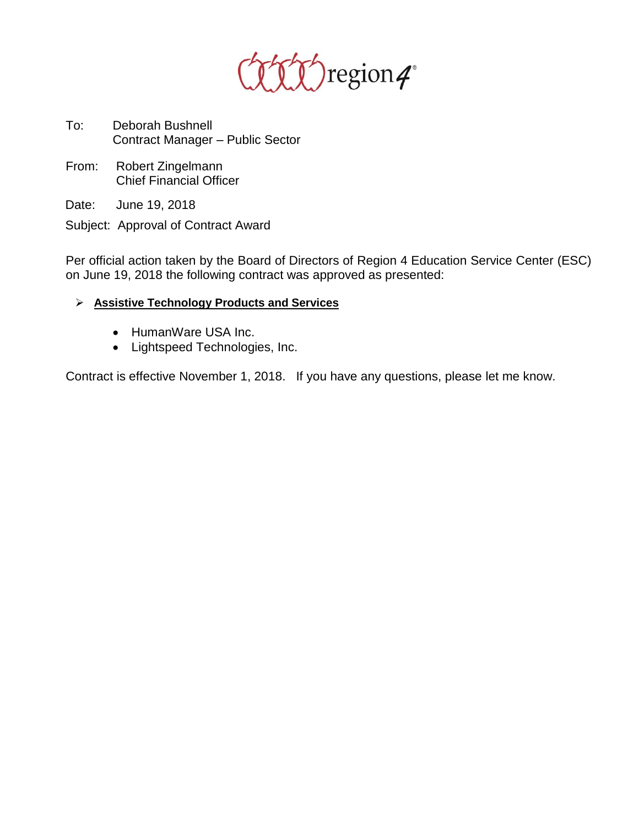

- To: Deborah Bushnell Contract Manager – Public Sector
- From: Robert Zingelmann Chief Financial Officer

Date: June 19, 2018

Subject: Approval of Contract Award

Per official action taken by the Board of Directors of Region 4 Education Service Center (ESC) on June 19, 2018 the following contract was approved as presented:

- ➢ **Assistive Technology Products and Services**
	- HumanWare USA Inc.
	- Lightspeed Technologies, Inc.

Contract is effective November 1, 2018. If you have any questions, please let me know.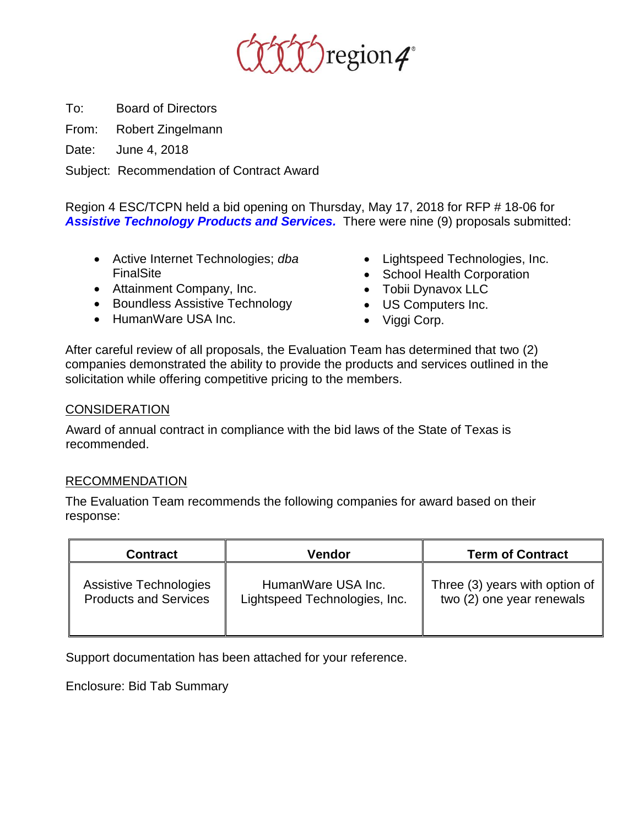

To: Board of Directors

From: Robert Zingelmann

Date: June 4, 2018

Subject: Recommendation of Contract Award

Region 4 ESC/TCPN held a bid opening on Thursday, May 17, 2018 for RFP # 18-06 for *Assistive Technology Products and Services.* There were nine (9) proposals submitted:

- Active Internet Technologies; *dba* FinalSite
- Attainment Company, Inc.
- Boundless Assistive Technology
- HumanWare USA Inc.
- Lightspeed Technologies, Inc.
- School Health Corporation
- Tobii Dynavox LLC
- US Computers Inc.
- Viggi Corp.

After careful review of all proposals, the Evaluation Team has determined that two (2) companies demonstrated the ability to provide the products and services outlined in the solicitation while offering competitive pricing to the members.

## **CONSIDERATION**

Award of annual contract in compliance with the bid laws of the State of Texas is recommended.

## RECOMMENDATION

The Evaluation Team recommends the following companies for award based on their response:

| <b>Contract</b>               | Vendor                        | <b>Term of Contract</b>        |
|-------------------------------|-------------------------------|--------------------------------|
| <b>Assistive Technologies</b> | HumanWare USA Inc.            | Three (3) years with option of |
| <b>Products and Services</b>  | Lightspeed Technologies, Inc. | two (2) one year renewals      |

Support documentation has been attached for your reference.

Enclosure: Bid Tab Summary